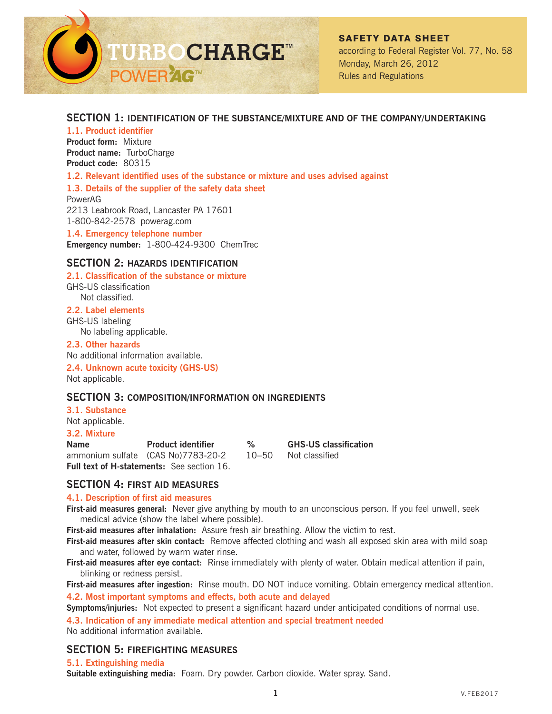

# **SECTION 1: IDENTIFICATION OF THE SUBSTANCE/MIXTURE AND OF THE COMPANY/UNDERTAKING**

**1.1. Product identifier Product form:** Mixture **Product name:** TurboCharge **Product code:** 80315

**1.2. Relevant identified uses of the substance or mixture and uses advised against**

**1.3. Details of the supplier of the safety data sheet**

PowerAG 2213 Leabrook Road, Lancaster PA 17601 1-800-842-2578 powerag.com

**1.4. Emergency telephone number Emergency number:** 1-800-424-9300 ChemTrec

# **SECTION 2: HAZARDS IDENTIFICATION**

#### **2.1. Classification of the substance or mixture**

GHS-US classification Not classified.

#### **2.2. Label elements**

GHS-US labeling

No labeling applicable.

### **2.3. Other hazards**

No additional information available.

**2.4. Unknown acute toxicity (GHS-US)** Not applicable.

## **SECTION 3: COMPOSITION/INFORMATION ON INGREDIENTS**

#### **3.1. Substance**

Not applicable.

#### **3.2. Mixture**

**Name Product identifier % GHS-US classification** ammonium sulfate (CAS No)7783-20-2 10–50 Not classified **Full text of H-statements:** See section 16.

## **SECTION 4: FIRST AID MEASURES**

#### **4.1. Description of first aid measures**

**First-aid measures general:** Never give anything by mouth to an unconscious person. If you feel unwell, seek medical advice (show the label where possible).

**First-aid measures after inhalation:** Assure fresh air breathing. Allow the victim to rest.

**First-aid measures after skin contact:** Remove affected clothing and wash all exposed skin area with mild soap and water, followed by warm water rinse.

**First-aid measures after eye contact:** Rinse immediately with plenty of water. Obtain medical attention if pain, blinking or redness persist.

**First-aid measures after ingestion:** Rinse mouth. DO NOT induce vomiting. Obtain emergency medical attention.

**4.2. Most important symptoms and effects, both acute and delayed**

**Symptoms/injuries:** Not expected to present a significant hazard under anticipated conditions of normal use. **4.3. Indication of any immediate medical attention and special treatment needed**

No additional information available.

# **SECTION 5: FIREFIGHTING MEASURES**

#### **5.1. Extinguishing media**

**Suitable extinguishing media:** Foam. Dry powder. Carbon dioxide. Water spray. Sand.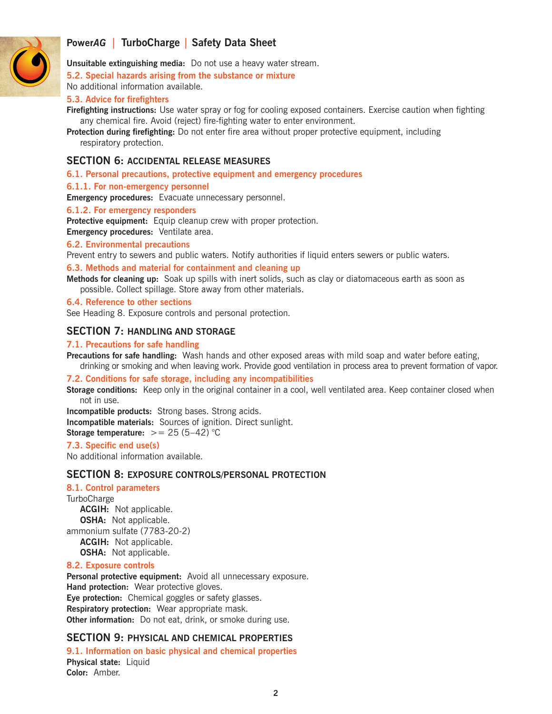

**Unsuitable extinguishing media:** Do not use a heavy water stream.

**5.2. Special hazards arising from the substance or mixture**

No additional information available.

## **5.3. Advice for firefighters**

**Firefighting instructions:** Use water spray or fog for cooling exposed containers. Exercise caution when fighting any chemical fire. Avoid (reject) fire-fighting water to enter environment.

**Protection during firefighting:** Do not enter fire area without proper protective equipment, including respiratory protection.

# **SECTION 6: ACCIDENTAL RELEASE MEASURES**

**6.1. Personal precautions, protective equipment and emergency procedures**

#### **6.1.1. For non-emergency personnel**

**Emergency procedures:** Evacuate unnecessary personnel.

#### **6.1.2. For emergency responders**

**Protective equipment:** Equip cleanup crew with proper protection.

**Emergency procedures:** Ventilate area.

#### **6.2. Environmental precautions**

Prevent entry to sewers and public waters. Notify authorities if liquid enters sewers or public waters.

#### **6.3. Methods and material for containment and cleaning up**

**Methods for cleaning up:** Soak up spills with inert solids, such as clay or diatomaceous earth as soon as possible. Collect spillage. Store away from other materials.

### **6.4. Reference to other sections**

See Heading 8. Exposure controls and personal protection.

## **SECTION 7: HANDLING AND STORAGE**

#### **7.1. Precautions for safe handling**

**Precautions for safe handling:** Wash hands and other exposed areas with mild soap and water before eating, drinking or smoking and when leaving work. Provide good ventilation in process area to prevent formation of vapor.

#### **7.2. Conditions for safe storage, including any incompatibilities**

**Storage conditions:** Keep only in the original container in a cool, well ventilated area. Keep container closed when not in use.

**Incompatible products:** Strong bases. Strong acids. **Incompatible materials:** Sources of ignition. Direct sunlight. **Storage temperature:**  $>= 25 (5-42) °C$ 

### **7.3. Specific end use(s)**

No additional information available.

### **SECTION 8: EXPOSURE CONTROLS/PERSONAL PROTECTION**

**8.1. Control parameters TurboCharge ACGIH:** Not applicable. **OSHA:** Not applicable. ammonium sulfate (7783-20-2) **ACGIH:** Not applicable. **OSHA:** Not applicable.

#### **8.2. Exposure controls**

**Personal protective equipment:** Avoid all unnecessary exposure. **Hand protection:** Wear protective gloves. **Eye protection:** Chemical goggles or safety glasses. **Respiratory protection:** Wear appropriate mask. **Other information:** Do not eat, drink, or smoke during use.

## **SECTION 9: PHYSICAL AND CHEMICAL PROPERTIES**

**9.1. Information on basic physical and chemical properties Physical state:** Liquid **Color:** Amber.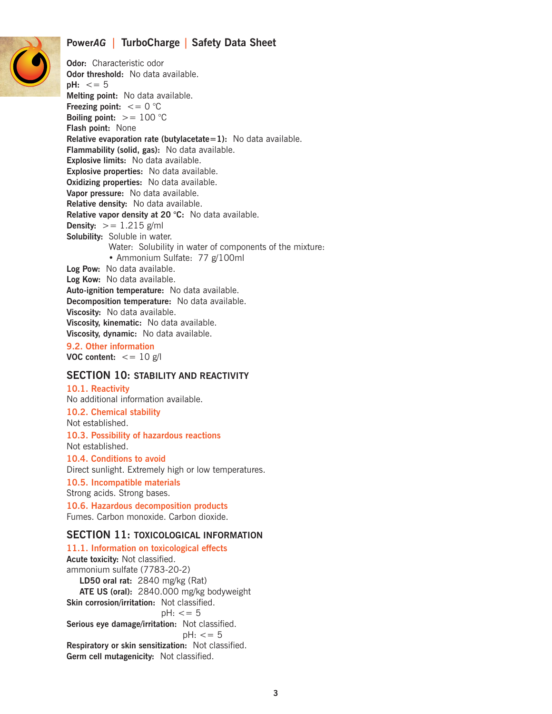

**Odor:** Characteristic odor **Odor threshold:** No data available. **pH:** <= 5 **Melting point:** No data available. **Freezing point:**  $\lt= 0$  °C **Boiling point:**  $>= 100 °C$ **Flash point:** None **Relative evaporation rate (butylacetate=1):** No data available. **Flammability (solid, gas):** No data available. **Explosive limits:** No data available. **Explosive properties:** No data available. **Oxidizing properties:** No data available. **Vapor pressure:** No data available. **Relative density:** No data available. **Relative vapor density at 20 °C:** No data available. **Density:**  $>= 1.215$  g/ml **Solubility:** Soluble in water. Water: Solubility in water of components of the mixture: • Ammonium Sulfate: 77 g/100ml **Log Pow:** No data available. **Log Kow:** No data available. **Auto-ignition temperature:** No data available. **Decomposition temperature:** No data available. **Viscosity:** No data available. **Viscosity, kinematic:** No data available. **Viscosity, dynamic:** No data available.

**9.2. Other information VOC content:**  $\lt$  = 10 g/l

#### **SECTION 10: STABILITY AND REACTIVITY**

**10.1. Reactivity**

No additional information available. **10.2. Chemical stability** Not established.

**10.3. Possibility of hazardous reactions** Not established.

**10.4. Conditions to avoid** Direct sunlight. Extremely high or low temperatures. **10.5. Incompatible materials** Strong acids. Strong bases.

**10.6. Hazardous decomposition products** Fumes. Carbon monoxide. Carbon dioxide.

#### **SECTION 11: TOXICOLOGICAL INFORMATION**

**11.1. Information on toxicological effects Acute toxicity:** Not classified. ammonium sulfate (7783-20-2)  **LD50 oral rat:** 2840 mg/kg (Rat)  **ATE US (oral):** 2840.000 mg/kg bodyweight **Skin corrosion/irritation:** Not classified.  $pH: < = 5$ **Serious eye damage/irritation:** Not classified.  $pH: < = 5$ **Respiratory or skin sensitization:** Not classified. **Germ cell mutagenicity:** Not classified.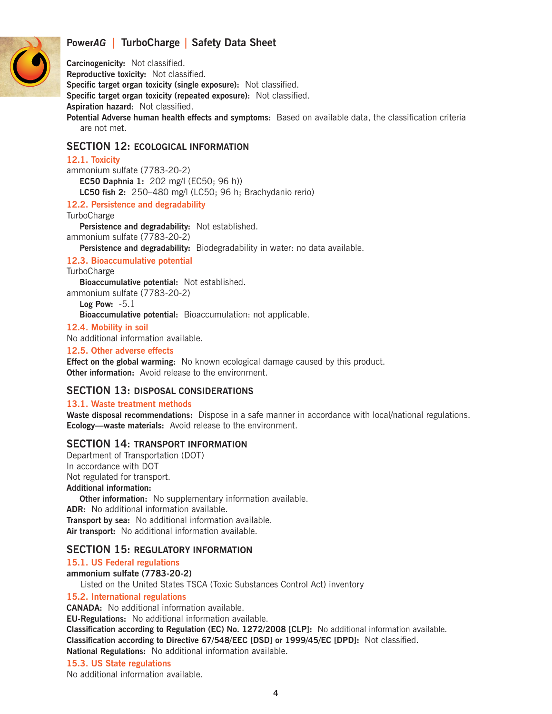

**Carcinogenicity:** Not classified. **Reproductive toxicity:** Not classified.

**Specific target organ toxicity (single exposure):** Not classified.

**Specific target organ toxicity (repeated exposure):** Not classified.

**Aspiration hazard:** Not classified.

**Potential Adverse human health effects and symptoms:** Based on available data, the classification criteria are not met.

# **SECTION 12: ECOLOGICAL INFORMATION**

## **12.1. Toxicity**

ammonium sulfate (7783-20-2)  **EC50 Daphnia 1:** 202 mg/l (EC50; 96 h))  **LC50 fish 2:** 250–480 mg/l (LC50; 96 h; Brachydanio rerio)

## **12.2. Persistence and degradability**

**TurboCharge** 

 **Persistence and degradability:** Not established.

ammonium sulfate (7783-20-2)

 **Persistence and degradability:** Biodegradability in water: no data available.

# **12.3. Bioaccumulative potential**

**TurboCharge** 

 **Bioaccumulative potential:** Not established.

ammonium sulfate (7783-20-2)  **Log Pow:** -5.1  **Bioaccumulative potential:** Bioaccumulation: not applicable.

## **12.4. Mobility in soil**

No additional information available.

## **12.5. Other adverse effects**

**Effect on the global warming:** No known ecological damage caused by this product. **Other information:** Avoid release to the environment.

# **SECTION 13: DISPOSAL CONSIDERATIONS**

## **13.1. Waste treatment methods**

**Waste disposal recommendations:** Dispose in a safe manner in accordance with local/national regulations. **Ecology—waste materials:** Avoid release to the environment.

# **SECTION 14: TRANSPORT INFORMATION**

Department of Transportation (DOT) In accordance with DOT Not regulated for transport. **Additional information:**

 **Other information:** No supplementary information available. **ADR:** No additional information available. **Transport by sea:** No additional information available. **Air transport:** No additional information available.

# **SECTION 15: REGULATORY INFORMATION**

# **15.1. US Federal regulations**

**ammonium sulfate (7783-20-2)**

Listed on the United States TSCA (Toxic Substances Control Act) inventory

## **15.2. International regulations**

**CANADA:** No additional information available.

**EU-Regulations:** No additional information available.

**Classification according to Regulation (EC) No. 1272/2008 [CLP]:** No additional information available. **Classification according to Directive 67/548/EEC [DSD] or 1999/45/EC [DPD]:** Not classified.

**National Regulations:** No additional information available.

# **15.3. US State regulations**

No additional information available.